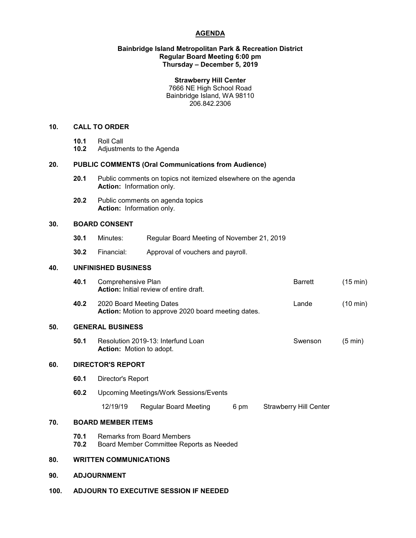# **AGENDA**

# **Bainbridge Island Metropolitan Park & Recreation District Regular Board Meeting 6:00 pm Thursday – December 5, 2019**

# **Strawberry Hill Center**

7666 NE High School Road Bainbridge Island, WA 98110 206.842.2306

# **10. CALL TO ORDER**

- 
- **10.1** Roll Call **10.2** Adjustments to the Agenda

# **20. PUBLIC COMMENTS (Oral Communications from Audience)**

- **20.1** Public comments on topics not itemized elsewhere on the agenda **Action:** Information only.
- **20.2** Public comments on agenda topics **Action:** Information only.

# **30. BOARD CONSENT**

- **30.1** Minutes: Regular Board Meeting of November 21, 2019
- **30.2** Financial: Approval of vouchers and payroll.

### **40. UNFINISHED BUSINESS**

|     | 40.1                                                                          | Comprehensive Plan<br><b>Action:</b> Initial review of entire draft.            |                              |      |  | <b>Barrett</b>                | $(15 \text{ min})$ |
|-----|-------------------------------------------------------------------------------|---------------------------------------------------------------------------------|------------------------------|------|--|-------------------------------|--------------------|
|     | 40.2                                                                          | 2020 Board Meeting Dates<br>Action: Motion to approve 2020 board meeting dates. |                              |      |  | Lande                         | $(10 \text{ min})$ |
| 50. | <b>GENERAL BUSINESS</b>                                                       |                                                                                 |                              |      |  |                               |                    |
|     | 50.1<br>Resolution 2019-13: Interfund Loan<br><b>Action:</b> Motion to adopt. |                                                                                 |                              |      |  | Swenson                       | $(5 \text{ min})$  |
| 60. | <b>DIRECTOR'S REPORT</b>                                                      |                                                                                 |                              |      |  |                               |                    |
|     | 60.1<br>Director's Report                                                     |                                                                                 |                              |      |  |                               |                    |
|     | 60.2                                                                          | Upcoming Meetings/Work Sessions/Events                                          |                              |      |  |                               |                    |
|     |                                                                               | 12/19/19                                                                        | <b>Regular Board Meeting</b> | 6 pm |  | <b>Strawberry Hill Center</b> |                    |
| 70. | <b>BOARD MEMBER ITEMS</b>                                                     |                                                                                 |                              |      |  |                               |                    |
|     | 70.1<br>70.2                                                                  | <b>Remarks from Board Members</b><br>Board Member Committee Reports as Needed   |                              |      |  |                               |                    |
| 80. |                                                                               | <b>WRITTEN COMMUNICATIONS</b>                                                   |                              |      |  |                               |                    |
| 90. | <b>ADJOURNMENT</b>                                                            |                                                                                 |                              |      |  |                               |                    |
|     |                                                                               |                                                                                 |                              |      |  |                               |                    |

**100. ADJOURN TO EXECUTIVE SESSION IF NEEDED**